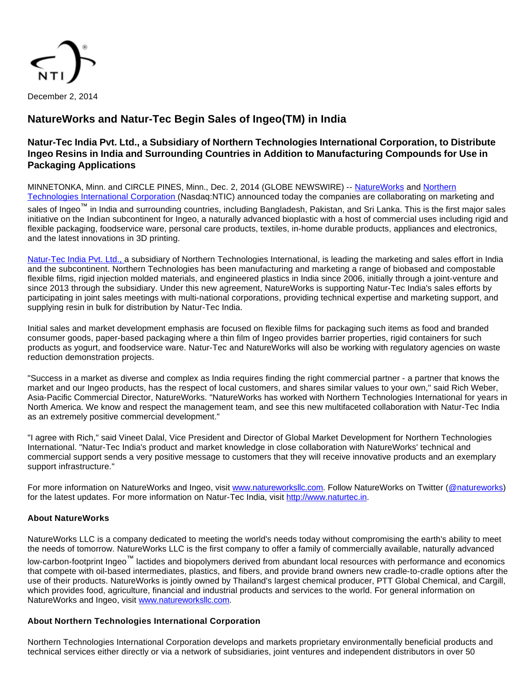

# **NatureWorks and Natur-Tec Begin Sales of Ingeo(TM) in India**

## **Natur-Tec India Pvt. Ltd., a Subsidiary of Northern Technologies International Corporation, to Distribute Ingeo Resins in India and Surrounding Countries in Addition to Manufacturing Compounds for Use in Packaging Applications**

### MINNETONKA, Minn. and CIRCLE PINES, Minn., Dec. 2, 2014 (GLOBE NEWSWIRE) -- [NatureWorks](http://www.globenewswire.com/newsroom/ctr?d=10109963&l=1&a=NatureWorks&u=http%3A%2F%2Fwww.natureworksllc.com%2F) and [Northern](http://www.globenewswire.com/newsroom/ctr?d=10109963&l=1&a=Northern%20Technologies%20International%20Corporation%20&u=http%3A%2F%2Fwww.ntic.com%2F)  [Technologies International Corporation](http://www.globenewswire.com/newsroom/ctr?d=10109963&l=1&a=Northern%20Technologies%20International%20Corporation%20&u=http%3A%2F%2Fwww.ntic.com%2F) (Nasdaq:NTIC) announced today the companies are collaborating on marketing and

sales of Ingeo™ in India and surrounding countries, including Bangladesh, Pakistan, and Sri Lanka. This is the first major sales initiative on the Indian subcontinent for Ingeo, a naturally advanced bioplastic with a host of commercial uses including rigid and flexible packaging, foodservice ware, personal care products, textiles, in-home durable products, appliances and electronics, and the latest innovations in 3D printing.

[Natur-Tec India Pvt. Ltd., a](http://www.globenewswire.com/newsroom/ctr?d=10109963&l=2&a=Natur-Tec%20India%20Pvt.%20Ltd.%2C%20&u=http%3A%2F%2Fwww.naturtec.in%2Fcompany) subsidiary of Northern Technologies International, is leading the marketing and sales effort in India and the subcontinent. Northern Technologies has been manufacturing and marketing a range of biobased and compostable flexible films, rigid injection molded materials, and engineered plastics in India since 2006, initially through a joint-venture and since 2013 through the subsidiary. Under this new agreement, NatureWorks is supporting Natur-Tec India's sales efforts by participating in joint sales meetings with multi-national corporations, providing technical expertise and marketing support, and supplying resin in bulk for distribution by Natur-Tec India.

Initial sales and market development emphasis are focused on flexible films for packaging such items as food and branded consumer goods, paper-based packaging where a thin film of Ingeo provides barrier properties, rigid containers for such products as yogurt, and foodservice ware. Natur-Tec and NatureWorks will also be working with regulatory agencies on waste reduction demonstration projects.

"Success in a market as diverse and complex as India requires finding the right commercial partner - a partner that knows the market and our Ingeo products, has the respect of local customers, and shares similar values to your own," said Rich Weber, Asia-Pacific Commercial Director, NatureWorks. "NatureWorks has worked with Northern Technologies International for years in North America. We know and respect the management team, and see this new multifaceted collaboration with Natur-Tec India as an extremely positive commercial development."

"I agree with Rich," said Vineet Dalal, Vice President and Director of Global Market Development for Northern Technologies International. "Natur-Tec India's product and market knowledge in close collaboration with NatureWorks' technical and commercial support sends a very positive message to customers that they will receive innovative products and an exemplary support infrastructure."

For more information on NatureWorks and Ingeo, visit [www.natureworksllc.com](http://www.globenewswire.com/newsroom/ctr?d=10109963&l=6&a=www.natureworksllc.com&u=http%3A%2F%2Fwww.natureworksllc.com%2F). Follow NatureWorks on Twitter [\(@natureworks](http://www.globenewswire.com/newsroom/ctr?d=10109963&l=6&a=%40natureworks&u=https%3A%2F%2Ftwitter.com%2Fnatureworks)) for the latest updates. For more information on Natur-Tec India, visit [http://www.naturtec.in.](http://www.globenewswire.com/newsroom/ctr?d=10109963&l=6&a=http%3A%2F%2Fwww.naturtec.in&u=http%3A%2F%2Fwww.naturtec.in%2F)

### **About NatureWorks**

NatureWorks LLC is a company dedicated to meeting the world's needs today without compromising the earth's ability to meet the needs of tomorrow. NatureWorks LLC is the first company to offer a family of commercially available, naturally advanced

low-carbon-footprint Ingeo™ lactides and biopolymers derived from abundant local resources with performance and economics that compete with oil-based intermediates, plastics, and fibers, and provide brand owners new cradle-to-cradle options after the use of their products. NatureWorks is jointly owned by Thailand's largest chemical producer, PTT Global Chemical, and Cargill, which provides food, agriculture, financial and industrial products and services to the world. For general information on NatureWorks and Ingeo, visit [www.natureworksllc.com](http://www.globenewswire.com/newsroom/ctr?d=10109963&l=8&a=www.natureworksllc.com&u=http%3A%2F%2Fwww.natureworksllc.com%2F).

### **About Northern Technologies International Corporation**

Northern Technologies International Corporation develops and markets proprietary environmentally beneficial products and technical services either directly or via a network of subsidiaries, joint ventures and independent distributors in over 50